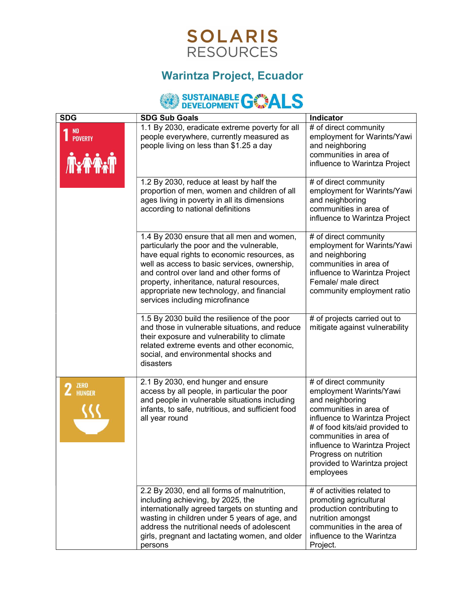

## Warintza Project, Ecuador

## SUSTAINABLE GOMENT

| <b>SDG</b>                    | <b>SDG Sub Goals</b>                                                                                                                                                                                                                                                                                                                                            | Indicator                                                                                                                                                                                                                                                                                         |
|-------------------------------|-----------------------------------------------------------------------------------------------------------------------------------------------------------------------------------------------------------------------------------------------------------------------------------------------------------------------------------------------------------------|---------------------------------------------------------------------------------------------------------------------------------------------------------------------------------------------------------------------------------------------------------------------------------------------------|
| NO.<br><b>POVERTY</b><br>小心   | 1.1 By 2030, eradicate extreme poverty for all<br>people everywhere, currently measured as<br>people living on less than \$1.25 a day                                                                                                                                                                                                                           | # of direct community<br>employment for Warints/Yawi<br>and neighboring<br>communities in area of<br>influence to Warintza Project                                                                                                                                                                |
|                               | 1.2 By 2030, reduce at least by half the<br>proportion of men, women and children of all<br>ages living in poverty in all its dimensions<br>according to national definitions                                                                                                                                                                                   | # of direct community<br>employment for Warints/Yawi<br>and neighboring<br>communities in area of<br>influence to Warintza Project                                                                                                                                                                |
|                               | 1.4 By 2030 ensure that all men and women,<br>particularly the poor and the vulnerable,<br>have equal rights to economic resources, as<br>well as access to basic services, ownership,<br>and control over land and other forms of<br>property, inheritance, natural resources,<br>appropriate new technology, and financial<br>services including microfinance | # of direct community<br>employment for Warints/Yawi<br>and neighboring<br>communities in area of<br>influence to Warintza Project<br>Female/ male direct<br>community employment ratio                                                                                                           |
|                               | 1.5 By 2030 build the resilience of the poor<br>and those in vulnerable situations, and reduce<br>their exposure and vulnerability to climate<br>related extreme events and other economic,<br>social, and environmental shocks and<br>disasters                                                                                                                | # of projects carried out to<br>mitigate against vulnerability                                                                                                                                                                                                                                    |
| <b>ZERO</b><br>$2$ $4$ HUNGER | 2.1 By 2030, end hunger and ensure<br>access by all people, in particular the poor<br>and people in vulnerable situations including<br>infants, to safe, nutritious, and sufficient food<br>all year round                                                                                                                                                      | # of direct community<br>employment Warints/Yawi<br>and neighboring<br>communities in area of<br>influence to Warintza Project<br># of food kits/aid provided to<br>communities in area of<br>influence to Warintza Project<br>Progress on nutrition<br>provided to Warintza project<br>employees |
|                               | 2.2 By 2030, end all forms of malnutrition,<br>including achieving, by 2025, the<br>internationally agreed targets on stunting and<br>wasting in children under 5 years of age, and<br>address the nutritional needs of adolescent<br>girls, pregnant and lactating women, and older<br>persons                                                                 | # of activities related to<br>promoting agricultural<br>production contributing to<br>nutrition amongst<br>communities in the area of<br>influence to the Warintza<br>Project.                                                                                                                    |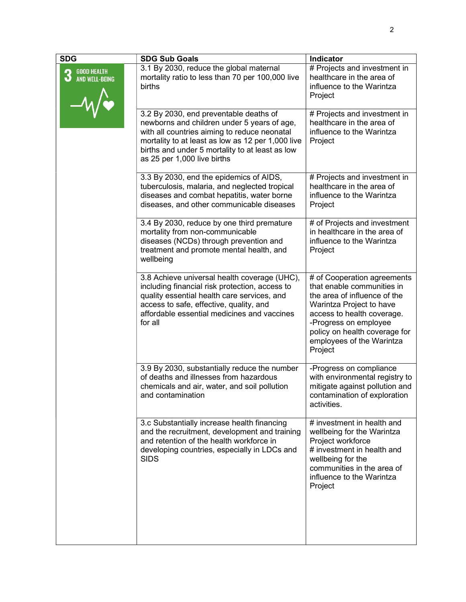| <b>SDG</b>                                | <b>SDG Sub Goals</b>                                                                                                                                                                                                                                                         | <b>Indicator</b>                                                                                                                                                                                                                                      |
|-------------------------------------------|------------------------------------------------------------------------------------------------------------------------------------------------------------------------------------------------------------------------------------------------------------------------------|-------------------------------------------------------------------------------------------------------------------------------------------------------------------------------------------------------------------------------------------------------|
| <b>GOOD HEALTH</b><br>3<br>AND WELL-BEING | 3.1 By 2030, reduce the global maternal<br>mortality ratio to less than 70 per 100,000 live<br>births                                                                                                                                                                        | # Projects and investment in<br>healthcare in the area of<br>influence to the Warintza<br>Project                                                                                                                                                     |
|                                           | 3.2 By 2030, end preventable deaths of<br>newborns and children under 5 years of age,<br>with all countries aiming to reduce neonatal<br>mortality to at least as low as 12 per 1,000 live<br>births and under 5 mortality to at least as low<br>as 25 per 1,000 live births | # Projects and investment in<br>healthcare in the area of<br>influence to the Warintza<br>Project                                                                                                                                                     |
|                                           | 3.3 By 2030, end the epidemics of AIDS,<br>tuberculosis, malaria, and neglected tropical<br>diseases and combat hepatitis, water borne<br>diseases, and other communicable diseases                                                                                          | # Projects and investment in<br>healthcare in the area of<br>influence to the Warintza<br>Project                                                                                                                                                     |
|                                           | 3.4 By 2030, reduce by one third premature<br>mortality from non-communicable<br>diseases (NCDs) through prevention and<br>treatment and promote mental health, and<br>wellbeing                                                                                             | # of Projects and investment<br>in healthcare in the area of<br>influence to the Warintza<br>Project                                                                                                                                                  |
|                                           | 3.8 Achieve universal health coverage (UHC),<br>including financial risk protection, access to<br>quality essential health care services, and<br>access to safe, effective, quality, and<br>affordable essential medicines and vaccines<br>for all                           | # of Cooperation agreements<br>that enable communities in<br>the area of influence of the<br>Warintza Project to have<br>access to health coverage.<br>-Progress on employee<br>policy on health coverage for<br>employees of the Warintza<br>Project |
|                                           | 3.9 By 2030, substantially reduce the number<br>of deaths and illnesses from hazardous<br>chemicals and air, water, and soil pollution<br>and contamination                                                                                                                  | -Progress on compliance<br>with environmental registry to<br>mitigate against pollution and<br>contamination of exploration<br>activities.                                                                                                            |
|                                           | 3.c Substantially increase health financing<br>and the recruitment, development and training<br>and retention of the health workforce in<br>developing countries, especially in LDCs and<br><b>SIDS</b>                                                                      | # investment in health and<br>wellbeing for the Warintza<br>Project workforce<br># investment in health and<br>wellbeing for the<br>communities in the area of<br>influence to the Warintza<br>Project                                                |
|                                           |                                                                                                                                                                                                                                                                              |                                                                                                                                                                                                                                                       |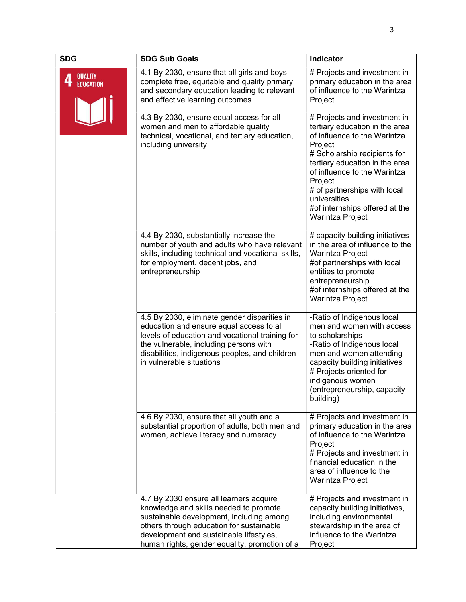| <b>SDG</b>                         | <b>SDG Sub Goals</b>                                                                                                                                                                                                                                                  | Indicator                                                                                                                                                                                                                                                                                                                    |
|------------------------------------|-----------------------------------------------------------------------------------------------------------------------------------------------------------------------------------------------------------------------------------------------------------------------|------------------------------------------------------------------------------------------------------------------------------------------------------------------------------------------------------------------------------------------------------------------------------------------------------------------------------|
| <b>QUALITY</b><br><b>EDUCATION</b> | 4.1 By 2030, ensure that all girls and boys<br>complete free, equitable and quality primary<br>and secondary education leading to relevant<br>and effective learning outcomes                                                                                         | # Projects and investment in<br>primary education in the area<br>of influence to the Warintza<br>Project                                                                                                                                                                                                                     |
|                                    | 4.3 By 2030, ensure equal access for all<br>women and men to affordable quality<br>technical, vocational, and tertiary education,<br>including university                                                                                                             | # Projects and investment in<br>tertiary education in the area<br>of influence to the Warintza<br>Project<br># Scholarship recipients for<br>tertiary education in the area<br>of influence to the Warintza<br>Project<br># of partnerships with local<br>universities<br>#of internships offered at the<br>Warintza Project |
|                                    | 4.4 By 2030, substantially increase the<br>number of youth and adults who have relevant<br>skills, including technical and vocational skills,<br>for employment, decent jobs, and<br>entrepreneurship                                                                 | # capacity building initiatives<br>in the area of influence to the<br>Warintza Project<br>#of partnerships with local<br>entities to promote<br>entrepreneurship<br>#of internships offered at the<br>Warintza Project                                                                                                       |
|                                    | 4.5 By 2030, eliminate gender disparities in<br>education and ensure equal access to all<br>levels of education and vocational training for<br>the vulnerable, including persons with<br>disabilities, indigenous peoples, and children<br>in vulnerable situations   | -Ratio of Indigenous local<br>men and women with access<br>to scholarships<br>-Ratio of Indigenous local<br>men and women attending<br>capacity building initiatives<br># Projects oriented for<br>indigenous women<br>(entrepreneurship, capacity<br>building)                                                              |
|                                    | 4.6 By 2030, ensure that all youth and a<br>substantial proportion of adults, both men and<br>women, achieve literacy and numeracy                                                                                                                                    | # Projects and investment in<br>primary education in the area<br>of influence to the Warintza<br>Project<br># Projects and investment in<br>financial education in the<br>area of influence to the<br>Warintza Project                                                                                                       |
|                                    | 4.7 By 2030 ensure all learners acquire<br>knowledge and skills needed to promote<br>sustainable development, including among<br>others through education for sustainable<br>development and sustainable lifestyles,<br>human rights, gender equality, promotion of a | # Projects and investment in<br>capacity building initiatives,<br>including environmental<br>stewardship in the area of<br>influence to the Warintza<br>Project                                                                                                                                                              |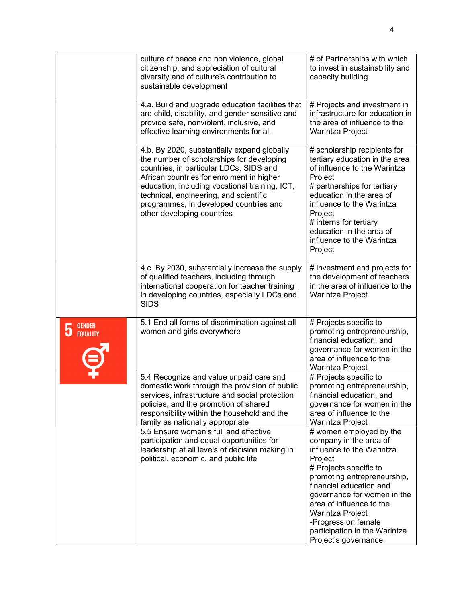|                                       | culture of peace and non violence, global<br>citizenship, and appreciation of cultural<br>diversity and of culture's contribution to<br>sustainable development                                                                                                                                                                                      | # of Partnerships with which<br>to invest in sustainability and<br>capacity building                                                                                                                                                                                                                                                         |
|---------------------------------------|------------------------------------------------------------------------------------------------------------------------------------------------------------------------------------------------------------------------------------------------------------------------------------------------------------------------------------------------------|----------------------------------------------------------------------------------------------------------------------------------------------------------------------------------------------------------------------------------------------------------------------------------------------------------------------------------------------|
|                                       | 4.a. Build and upgrade education facilities that<br>are child, disability, and gender sensitive and<br>provide safe, nonviolent, inclusive, and<br>effective learning environments for all                                                                                                                                                           | # Projects and investment in<br>infrastructure for education in<br>the area of influence to the<br>Warintza Project                                                                                                                                                                                                                          |
|                                       | 4.b. By 2020, substantially expand globally<br>the number of scholarships for developing<br>countries, in particular LDCs, SIDS and<br>African countries for enrolment in higher<br>education, including vocational training, ICT,<br>technical, engineering, and scientific<br>programmes, in developed countries and<br>other developing countries | # scholarship recipients for<br>tertiary education in the area<br>of influence to the Warintza<br>Project<br># partnerships for tertiary<br>education in the area of<br>influence to the Warintza<br>Project<br># interns for tertiary<br>education in the area of<br>influence to the Warintza<br>Project                                   |
|                                       | 4.c. By 2030, substantially increase the supply<br>of qualified teachers, including through<br>international cooperation for teacher training<br>in developing countries, especially LDCs and<br><b>SIDS</b>                                                                                                                                         | # investment and projects for<br>the development of teachers<br>in the area of influence to the<br>Warintza Project                                                                                                                                                                                                                          |
| <b>GENDER</b><br>5<br><b>EQUALITY</b> | 5.1 End all forms of discrimination against all<br>women and girls everywhere                                                                                                                                                                                                                                                                        | # Projects specific to<br>promoting entrepreneurship,<br>financial education, and<br>governance for women in the<br>area of influence to the<br>Warintza Project                                                                                                                                                                             |
|                                       | 5.4 Recognize and value unpaid care and<br>domestic work through the provision of public<br>services, infrastructure and social protection<br>policies, and the promotion of shared<br>responsibility within the household and the<br>family as nationally appropriate                                                                               | # Projects specific to<br>promoting entrepreneurship,<br>financial education, and<br>governance for women in the<br>area of influence to the<br>Warintza Project                                                                                                                                                                             |
|                                       | 5.5 Ensure women's full and effective<br>participation and equal opportunities for<br>leadership at all levels of decision making in<br>political, economic, and public life                                                                                                                                                                         | # women employed by the<br>company in the area of<br>influence to the Warintza<br>Project<br># Projects specific to<br>promoting entrepreneurship,<br>financial education and<br>governance for women in the<br>area of influence to the<br>Warintza Project<br>-Progress on female<br>participation in the Warintza<br>Project's governance |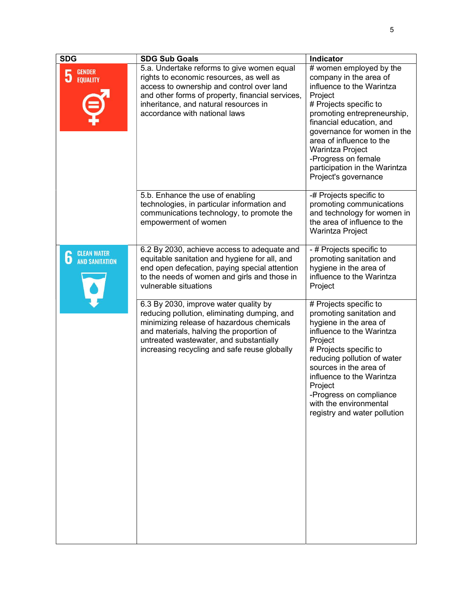| <b>SDG</b>                                       | <b>SDG Sub Goals</b>                                                                                                                                                                                                                                                                                                                                                                                                                                                                                | Indicator                                                                                                                                                                                                                                                                                                                                                                                                                                                      |
|--------------------------------------------------|-----------------------------------------------------------------------------------------------------------------------------------------------------------------------------------------------------------------------------------------------------------------------------------------------------------------------------------------------------------------------------------------------------------------------------------------------------------------------------------------------------|----------------------------------------------------------------------------------------------------------------------------------------------------------------------------------------------------------------------------------------------------------------------------------------------------------------------------------------------------------------------------------------------------------------------------------------------------------------|
| <b>GENDER</b><br>5<br><b>EQUALITY</b>            | 5.a. Undertake reforms to give women equal<br>rights to economic resources, as well as<br>access to ownership and control over land<br>and other forms of property, financial services,<br>inheritance, and natural resources in<br>accordance with national laws                                                                                                                                                                                                                                   | # women employed by the<br>company in the area of<br>influence to the Warintza<br>Project<br># Projects specific to<br>promoting entrepreneurship,<br>financial education, and<br>governance for women in the<br>area of influence to the<br><b>Warintza Project</b><br>-Progress on female<br>participation in the Warintza<br>Project's governance                                                                                                           |
|                                                  | 5.b. Enhance the use of enabling<br>technologies, in particular information and<br>communications technology, to promote the<br>empowerment of women                                                                                                                                                                                                                                                                                                                                                | -# Projects specific to<br>promoting communications<br>and technology for women in<br>the area of influence to the<br><b>Warintza Project</b>                                                                                                                                                                                                                                                                                                                  |
| <b>CLEAN WATER</b><br>6<br><b>AND SANITATION</b> | 6.2 By 2030, achieve access to adequate and<br>equitable sanitation and hygiene for all, and<br>end open defecation, paying special attention<br>to the needs of women and girls and those in<br>vulnerable situations<br>6.3 By 2030, improve water quality by<br>reducing pollution, eliminating dumping, and<br>minimizing release of hazardous chemicals<br>and materials, halving the proportion of<br>untreated wastewater, and substantially<br>increasing recycling and safe reuse globally | - # Projects specific to<br>promoting sanitation and<br>hygiene in the area of<br>influence to the Warintza<br>Project<br># Projects specific to<br>promoting sanitation and<br>hygiene in the area of<br>influence to the Warintza<br>Project<br># Projects specific to<br>reducing pollution of water<br>sources in the area of<br>influence to the Warintza<br>Project<br>-Progress on compliance<br>with the environmental<br>registry and water pollution |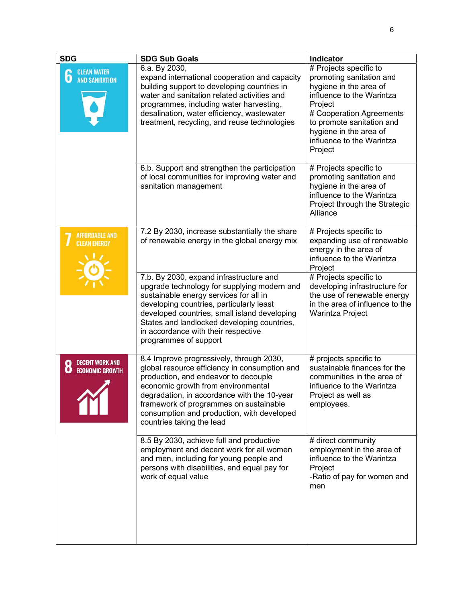| <b>SDG</b>                                                 | <b>SDG Sub Goals</b>                                                                                                                                                                                                                                                                                                                                                                                                                         | <b>Indicator</b>                                                                                                                                                                                                                                                       |
|------------------------------------------------------------|----------------------------------------------------------------------------------------------------------------------------------------------------------------------------------------------------------------------------------------------------------------------------------------------------------------------------------------------------------------------------------------------------------------------------------------------|------------------------------------------------------------------------------------------------------------------------------------------------------------------------------------------------------------------------------------------------------------------------|
| <b>CLEAN WATER</b><br>O<br><b>AND SANITATION</b>           | 6.a. By 2030,<br>expand international cooperation and capacity<br>building support to developing countries in<br>water and sanitation related activities and<br>programmes, including water harvesting,<br>desalination, water efficiency, wastewater<br>treatment, recycling, and reuse technologies                                                                                                                                        | # Projects specific to<br>promoting sanitation and<br>hygiene in the area of<br>influence to the Warintza<br>Project<br># Cooperation Agreements<br>to promote sanitation and<br>hygiene in the area of<br>influence to the Warintza<br>Project                        |
|                                                            | 6.b. Support and strengthen the participation<br>of local communities for improving water and<br>sanitation management                                                                                                                                                                                                                                                                                                                       | # Projects specific to<br>promoting sanitation and<br>hygiene in the area of<br>influence to the Warintza<br>Project through the Strategic<br>Alliance                                                                                                                 |
| <b>AFFORDABLE AND</b><br><b>CLEAN ENERGY</b>               | 7.2 By 2030, increase substantially the share<br>of renewable energy in the global energy mix<br>7.b. By 2030, expand infrastructure and<br>upgrade technology for supplying modern and<br>sustainable energy services for all in<br>developing countries, particularly least<br>developed countries, small island developing<br>States and landlocked developing countries,<br>in accordance with their respective<br>programmes of support | # Projects specific to<br>expanding use of renewable<br>energy in the area of<br>influence to the Warintza<br>Project<br># Projects specific to<br>developing infrastructure for<br>the use of renewable energy<br>in the area of influence to the<br>Warintza Project |
| <b>DECENT WORK AND</b><br>O<br>O<br><b>ECONOMIC GROWTH</b> | 8.4 Improve progressively, through 2030,<br>global resource efficiency in consumption and<br>production, and endeavor to decouple<br>economic growth from environmental<br>degradation, in accordance with the 10-year<br>framework of programmes on sustainable<br>consumption and production, with developed<br>countries taking the lead                                                                                                  | # projects specific to<br>sustainable finances for the<br>communities in the area of<br>influence to the Warintza<br>Project as well as<br>employees.                                                                                                                  |
|                                                            | 8.5 By 2030, achieve full and productive<br>employment and decent work for all women<br>and men, including for young people and<br>persons with disabilities, and equal pay for<br>work of equal value                                                                                                                                                                                                                                       | # direct community<br>employment in the area of<br>influence to the Warintza<br>Project<br>-Ratio of pay for women and<br>men                                                                                                                                          |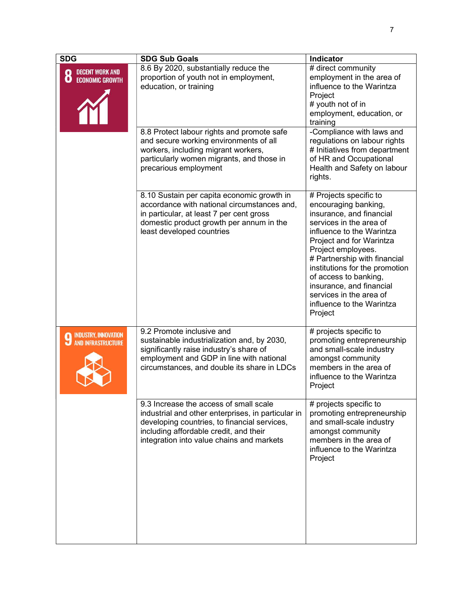| <b>SDG</b>                                                                        | <b>SDG Sub Goals</b>                                                                                                                                                                                                                | Indicator                                                                                                                                                                                                                                                                                                                                                                      |
|-----------------------------------------------------------------------------------|-------------------------------------------------------------------------------------------------------------------------------------------------------------------------------------------------------------------------------------|--------------------------------------------------------------------------------------------------------------------------------------------------------------------------------------------------------------------------------------------------------------------------------------------------------------------------------------------------------------------------------|
| <b>DECENT WORK AND</b><br>$\left( \bullet \right)$<br>O<br><b>ECONOMIC GROWTH</b> | 8.6 By 2020, substantially reduce the<br>proportion of youth not in employment,<br>education, or training                                                                                                                           | # direct community<br>employment in the area of<br>influence to the Warintza<br>Project<br># youth not of in<br>employment, education, or<br>training                                                                                                                                                                                                                          |
|                                                                                   | 8.8 Protect labour rights and promote safe<br>and secure working environments of all<br>workers, including migrant workers,<br>particularly women migrants, and those in<br>precarious employment                                   | -Compliance with laws and<br>regulations on labour rights<br># Initiatives from department<br>of HR and Occupational<br>Health and Safety on labour<br>rights.                                                                                                                                                                                                                 |
|                                                                                   | 8.10 Sustain per capita economic growth in<br>accordance with national circumstances and,<br>in particular, at least 7 per cent gross<br>domestic product growth per annum in the<br>least developed countries                      | # Projects specific to<br>encouraging banking,<br>insurance, and financial<br>services in the area of<br>influence to the Warintza<br>Project and for Warintza<br>Project employees.<br># Partnership with financial<br>institutions for the promotion<br>of access to banking,<br>insurance, and financial<br>services in the area of<br>influence to the Warintza<br>Project |
| <b>INDUSTRY, INNOVATION</b><br><b>AND INFRASTRUCTURE</b>                          | 9.2 Promote inclusive and<br>sustainable industrialization and, by 2030,<br>significantly raise industry's share of<br>employment and GDP in line with national<br>circumstances, and double its share in LDCs                      | # projects specific to<br>promoting entrepreneurship<br>and small-scale industry<br>amongst community<br>members in the area of<br>influence to the Warintza<br>Project                                                                                                                                                                                                        |
|                                                                                   | 9.3 Increase the access of small scale<br>industrial and other enterprises, in particular in<br>developing countries, to financial services,<br>including affordable credit, and their<br>integration into value chains and markets | # projects specific to<br>promoting entrepreneurship<br>and small-scale industry<br>amongst community<br>members in the area of<br>influence to the Warintza<br>Project                                                                                                                                                                                                        |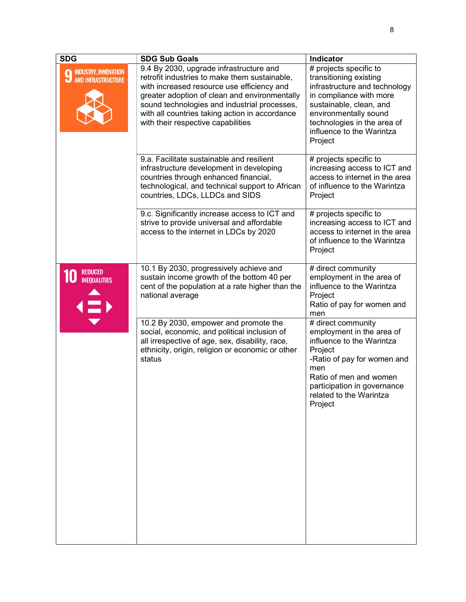| <b>SDG</b>                                                           | <b>SDG Sub Goals</b>                                                                                                                                                                                                                                                                                                            | Indicator                                                                                                                                                                                                                               |
|----------------------------------------------------------------------|---------------------------------------------------------------------------------------------------------------------------------------------------------------------------------------------------------------------------------------------------------------------------------------------------------------------------------|-----------------------------------------------------------------------------------------------------------------------------------------------------------------------------------------------------------------------------------------|
| INDUSTRY, INNOVATION<br><b>AND INFRASTRUCTURE</b><br>u               | 9.4 By 2030, upgrade infrastructure and<br>retrofit industries to make them sustainable,<br>with increased resource use efficiency and<br>greater adoption of clean and environmentally<br>sound technologies and industrial processes,<br>with all countries taking action in accordance<br>with their respective capabilities | # projects specific to<br>transitioning existing<br>infrastructure and technology<br>in compliance with more<br>sustainable, clean, and<br>environmentally sound<br>technologies in the area of<br>influence to the Warintza<br>Project |
|                                                                      | 9.a. Facilitate sustainable and resilient<br>infrastructure development in developing<br>countries through enhanced financial,<br>technological, and technical support to African<br>countries, LDCs, LLDCs and SIDS                                                                                                            | # projects specific to<br>increasing access to ICT and<br>access to internet in the area<br>of influence to the Warintza<br>Project                                                                                                     |
|                                                                      | 9.c. Significantly increase access to ICT and<br>strive to provide universal and affordable<br>access to the internet in LDCs by 2020                                                                                                                                                                                           | # projects specific to<br>increasing access to ICT and<br>access to internet in the area<br>of influence to the Warintza<br>Project                                                                                                     |
| <b>REDUCED</b><br><b>INEQUALITIES</b><br>$\langle \hat{\Xi} \rangle$ | 10.1 By 2030, progressively achieve and<br>sustain income growth of the bottom 40 per<br>cent of the population at a rate higher than the<br>national average                                                                                                                                                                   | # direct community<br>employment in the area of<br>influence to the Warintza<br>Project<br>Ratio of pay for women and<br>men                                                                                                            |
|                                                                      | 10.2 By 2030, empower and promote the<br>social, economic, and political inclusion of<br>all irrespective of age, sex, disability, race,<br>ethnicity, origin, religion or economic or other<br>status                                                                                                                          | # direct community<br>employment in the area of<br>influence to the Warintza<br>Project<br>-Ratio of pay for women and<br>men<br>Ratio of men and women<br>participation in governance<br>related to the Warintza<br>Project            |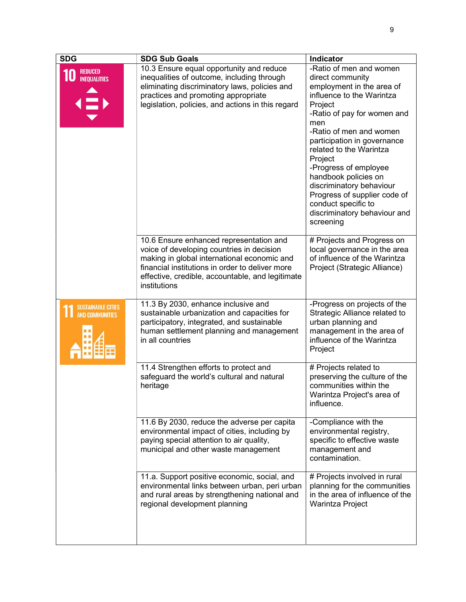| <b>SDG</b>                                          | <b>SDG Sub Goals</b>                                                                                                                                                                                                                                       | <b>Indicator</b>                                                                                                                                                                                                                                                                                                                                                                                                                        |
|-----------------------------------------------------|------------------------------------------------------------------------------------------------------------------------------------------------------------------------------------------------------------------------------------------------------------|-----------------------------------------------------------------------------------------------------------------------------------------------------------------------------------------------------------------------------------------------------------------------------------------------------------------------------------------------------------------------------------------------------------------------------------------|
| <b>REDUCED</b><br><b>INEQUALITIES</b><br>EN         | 10.3 Ensure equal opportunity and reduce<br>inequalities of outcome, including through<br>eliminating discriminatory laws, policies and<br>practices and promoting appropriate<br>legislation, policies, and actions in this regard                        | -Ratio of men and women<br>direct community<br>employment in the area of<br>influence to the Warintza<br>Project<br>-Ratio of pay for women and<br>men<br>-Ratio of men and women<br>participation in governance<br>related to the Warintza<br>Project<br>-Progress of employee<br>handbook policies on<br>discriminatory behaviour<br>Progress of supplier code of<br>conduct specific to<br>discriminatory behaviour and<br>screening |
|                                                     | 10.6 Ensure enhanced representation and<br>voice of developing countries in decision<br>making in global international economic and<br>financial institutions in order to deliver more<br>effective, credible, accountable, and legitimate<br>institutions | # Projects and Progress on<br>local governance in the area<br>of influence of the Warintza<br>Project (Strategic Alliance)                                                                                                                                                                                                                                                                                                              |
| <b>SUSTAINABLE CITIES</b><br><b>AND COMMUNITIES</b> | 11.3 By 2030, enhance inclusive and<br>sustainable urbanization and capacities for<br>participatory, integrated, and sustainable<br>human settlement planning and management<br>in all countries                                                           | -Progress on projects of the<br>Strategic Alliance related to<br>urban planning and<br>management in the area of<br>influence of the Warintza<br>Project                                                                                                                                                                                                                                                                                |
|                                                     | 11.4 Strengthen efforts to protect and<br>safeguard the world's cultural and natural<br>heritage                                                                                                                                                           | # Projects related to<br>preserving the culture of the<br>communities within the<br>Warintza Project's area of<br>influence.                                                                                                                                                                                                                                                                                                            |
|                                                     | 11.6 By 2030, reduce the adverse per capita<br>environmental impact of cities, including by<br>paying special attention to air quality,<br>municipal and other waste management                                                                            | -Compliance with the<br>environmental registry,<br>specific to effective waste<br>management and<br>contamination.                                                                                                                                                                                                                                                                                                                      |
|                                                     | 11.a. Support positive economic, social, and<br>environmental links between urban, peri urban<br>and rural areas by strengthening national and<br>regional development planning                                                                            | # Projects involved in rural<br>planning for the communities<br>in the area of influence of the<br>Warintza Project                                                                                                                                                                                                                                                                                                                     |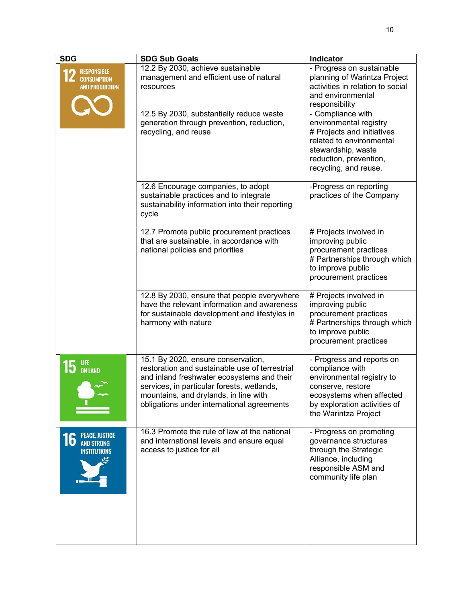| <b>SDG</b>                                                              | <b>SDG Sub Goals</b>                                                                                                                                                                                                                                                    | <b>Indicator</b>                                                                                                                                                                   |
|-------------------------------------------------------------------------|-------------------------------------------------------------------------------------------------------------------------------------------------------------------------------------------------------------------------------------------------------------------------|------------------------------------------------------------------------------------------------------------------------------------------------------------------------------------|
| <b>RESPONSIBLE</b><br><b>CONSUMPTION</b><br><b>AND PRODUCTION</b>       | 12.2 By 2030, achieve sustainable<br>management and efficient use of natural<br>resources                                                                                                                                                                               | - Progress on sustainable<br>planning of Warintza Project<br>activities in relation to social<br>and environmental<br>responsibility                                               |
|                                                                         | 12.5 By 2030, substantially reduce waste<br>generation through prevention, reduction,<br>recycling, and reuse                                                                                                                                                           | - Compliance with<br>environmental registry<br># Projects and initiatives<br>related to environmental<br>stewardship, waste<br>reduction, prevention,<br>recycling, and reuse.     |
|                                                                         | 12.6 Encourage companies, to adopt<br>sustainable practices and to integrate<br>sustainability information into their reporting<br>cycle                                                                                                                                | -Progress on reporting<br>practices of the Company                                                                                                                                 |
|                                                                         | 12.7 Promote public procurement practices<br>that are sustainable, in accordance with<br>national policies and priorities                                                                                                                                               | # Projects involved in<br>improving public<br>procurement practices<br># Partnerships through which<br>to improve public<br>procurement practices                                  |
|                                                                         | 12.8 By 2030, ensure that people everywhere<br>have the relevant information and awareness<br>for sustainable development and lifestyles in<br>harmony with nature                                                                                                      | # Projects involved in<br>improving public<br>procurement practices<br># Partnerships through which<br>to improve public<br>procurement practices                                  |
| life<br><b>IJ</b> ON LAND                                               | 15.1 By 2020, ensure conservation,<br>restoration and sustainable use of terrestrial<br>and inland freshwater ecosystems and their<br>services, in particular forests, wetlands,<br>mountains, and drylands, in line with<br>obligations under international agreements | - Progress and reports on<br>compliance with<br>environmental registry to<br>conserve, restore<br>ecosystems when affected<br>by exploration activities of<br>the Warintza Project |
| <b>PEACE, JUSTICE</b><br>16<br><b>AND STRONG</b><br><b>INSTITUTIONS</b> | 16.3 Promote the rule of law at the national<br>and international levels and ensure equal<br>access to justice for all                                                                                                                                                  | - Progress on promoting<br>governance structures<br>through the Strategic<br>Alliance, including<br>responsible ASM and<br>community life plan                                     |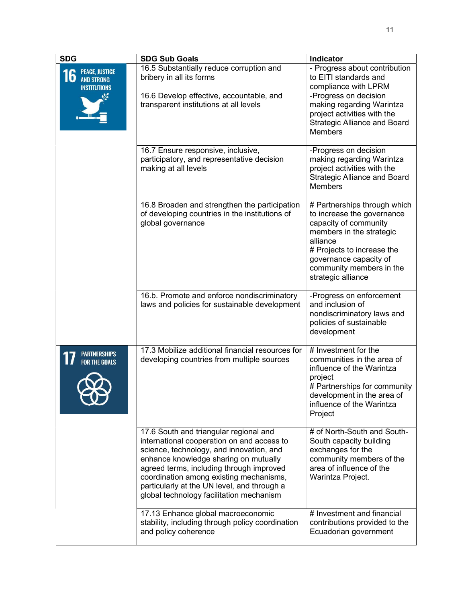| <b>SDG</b>                                                                    | <b>SDG Sub Goals</b>                                                                                                                                                                                                                                                                                                                                        | Indicator                                                                                                                                                                                                                             |
|-------------------------------------------------------------------------------|-------------------------------------------------------------------------------------------------------------------------------------------------------------------------------------------------------------------------------------------------------------------------------------------------------------------------------------------------------------|---------------------------------------------------------------------------------------------------------------------------------------------------------------------------------------------------------------------------------------|
| <b>PEACE, JUSTICE</b><br>$\bf{O}$<br><b>AND STRONG</b><br><b>INSTITUTIONS</b> | 16.5 Substantially reduce corruption and<br>bribery in all its forms                                                                                                                                                                                                                                                                                        | - Progress about contribution<br>to EITI standards and<br>compliance with LPRM                                                                                                                                                        |
|                                                                               | 16.6 Develop effective, accountable, and<br>transparent institutions at all levels                                                                                                                                                                                                                                                                          | -Progress on decision<br>making regarding Warintza<br>project activities with the<br><b>Strategic Alliance and Board</b><br><b>Members</b>                                                                                            |
|                                                                               | 16.7 Ensure responsive, inclusive,<br>participatory, and representative decision<br>making at all levels                                                                                                                                                                                                                                                    | -Progress on decision<br>making regarding Warintza<br>project activities with the<br><b>Strategic Alliance and Board</b><br><b>Members</b>                                                                                            |
|                                                                               | 16.8 Broaden and strengthen the participation<br>of developing countries in the institutions of<br>global governance                                                                                                                                                                                                                                        | # Partnerships through which<br>to increase the governance<br>capacity of community<br>members in the strategic<br>alliance<br># Projects to increase the<br>governance capacity of<br>community members in the<br>strategic alliance |
|                                                                               | 16.b. Promote and enforce nondiscriminatory<br>laws and policies for sustainable development                                                                                                                                                                                                                                                                | -Progress on enforcement<br>and inclusion of<br>nondiscriminatory laws and<br>policies of sustainable<br>development                                                                                                                  |
| <b>FOR THE GOALS</b>                                                          | 17.3 Mobilize additional financial resources for<br>developing countries from multiple sources                                                                                                                                                                                                                                                              | # Investment for the<br>communities in the area of<br>influence of the Warintza<br>project<br># Partnerships for community<br>development in the area of<br>influence of the Warintza<br>Project                                      |
|                                                                               | 17.6 South and triangular regional and<br>international cooperation on and access to<br>science, technology, and innovation, and<br>enhance knowledge sharing on mutually<br>agreed terms, including through improved<br>coordination among existing mechanisms,<br>particularly at the UN level, and through a<br>global technology facilitation mechanism | # of North-South and South-<br>South capacity building<br>exchanges for the<br>community members of the<br>area of influence of the<br>Warintza Project.                                                                              |
|                                                                               | 17.13 Enhance global macroeconomic<br>stability, including through policy coordination<br>and policy coherence                                                                                                                                                                                                                                              | # Investment and financial<br>contributions provided to the<br>Ecuadorian government                                                                                                                                                  |